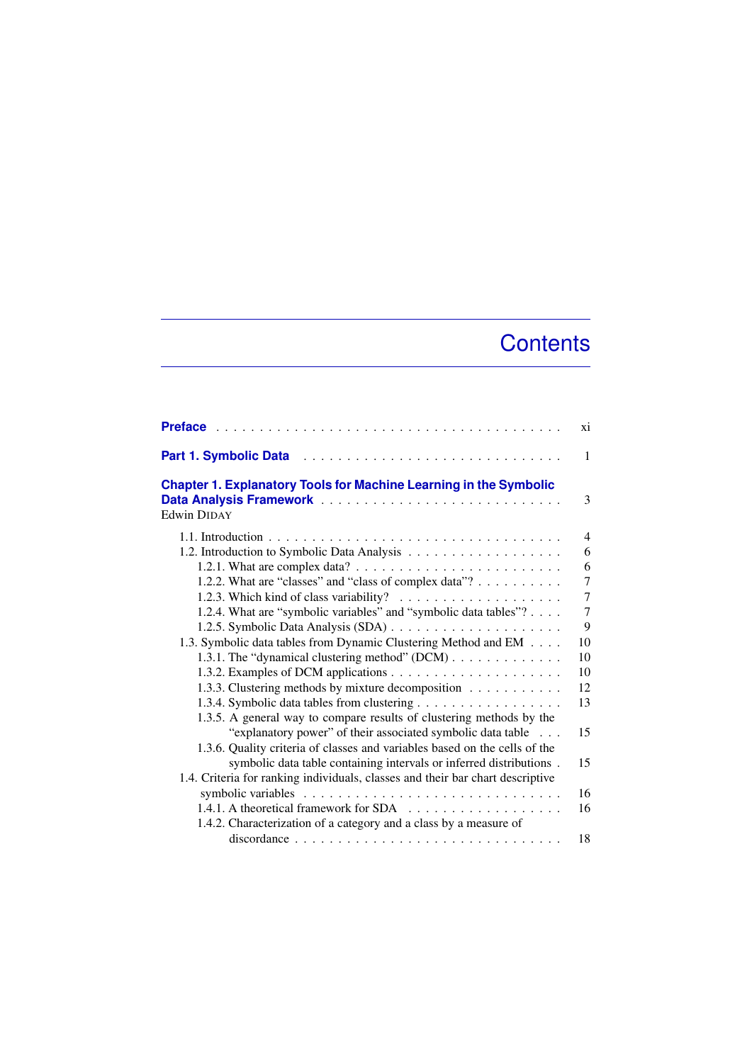## **Contents**

|                                                                                                | xi             |
|------------------------------------------------------------------------------------------------|----------------|
| <b>Part 1. Symbolic Data</b>                                                                   | $\mathbf{1}$   |
| <b>Chapter 1. Explanatory Tools for Machine Learning in the Symbolic</b><br><b>Edwin DIDAY</b> | 3              |
|                                                                                                | $\overline{4}$ |
|                                                                                                | 6              |
|                                                                                                | 6              |
| 1.2.2. What are "classes" and "class of complex data"?                                         | $\overline{7}$ |
|                                                                                                | $\overline{7}$ |
| 1.2.4. What are "symbolic variables" and "symbolic data tables"?                               | 7              |
|                                                                                                | 9              |
| 1.3. Symbolic data tables from Dynamic Clustering Method and EM                                | 10             |
| 1.3.1. The "dynamical clustering method" $(DCM)$                                               | 10             |
|                                                                                                | 10             |
| 1.3.3. Clustering methods by mixture decomposition                                             | 12             |
|                                                                                                | 13             |
| 1.3.5. A general way to compare results of clustering methods by the                           |                |
| "explanatory power" of their associated symbolic data table                                    | 15             |
| 1.3.6. Quality criteria of classes and variables based on the cells of the                     |                |
| symbolic data table containing intervals or inferred distributions.                            | 15             |
| 1.4. Criteria for ranking individuals, classes and their bar chart descriptive                 |                |
|                                                                                                | 16             |
|                                                                                                | 16             |
| 1.4.2. Characterization of a category and a class by a measure of                              |                |
|                                                                                                | 18             |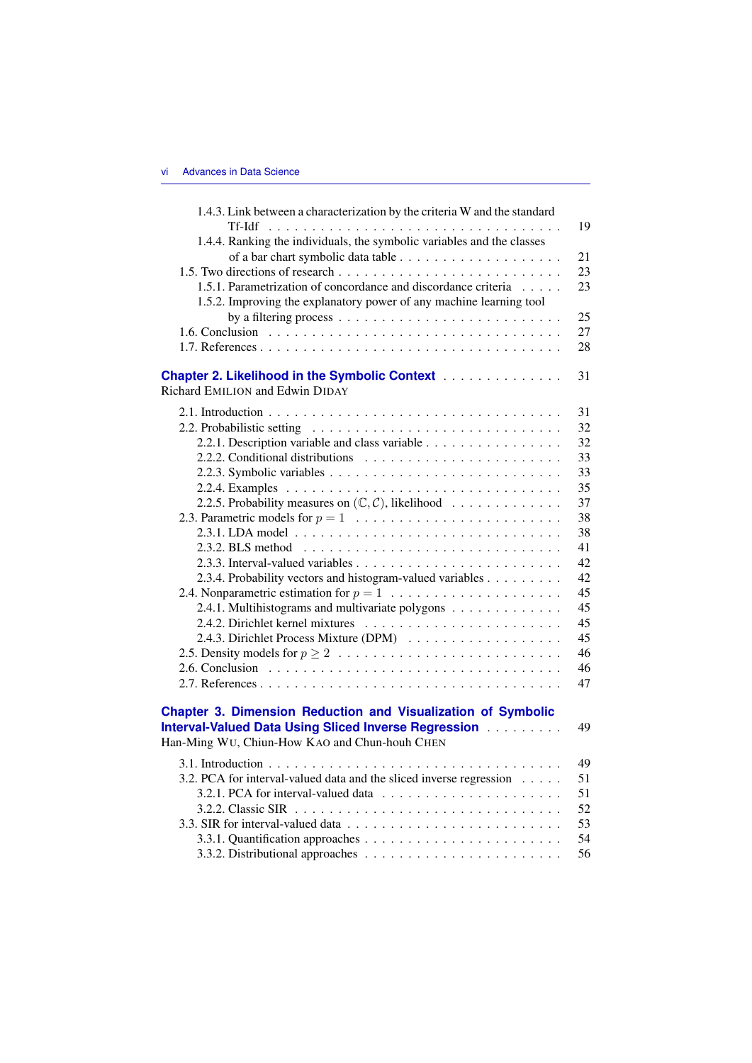| 1.4.3. Link between a characterization by the criteria W and the standard         |    |
|-----------------------------------------------------------------------------------|----|
|                                                                                   | 19 |
| 1.4.4. Ranking the individuals, the symbolic variables and the classes            |    |
|                                                                                   | 21 |
|                                                                                   | 23 |
| 1.5.1. Parametrization of concordance and discordance criteria                    | 23 |
| 1.5.2. Improving the explanatory power of any machine learning tool               |    |
|                                                                                   | 25 |
|                                                                                   | 27 |
|                                                                                   | 28 |
| Chapter 2. Likelihood in the Symbolic Context                                     | 31 |
| Richard EMILION and Edwin DIDAY                                                   |    |
|                                                                                   | 31 |
|                                                                                   | 32 |
| 2.2.1. Description variable and class variable                                    | 32 |
|                                                                                   | 33 |
|                                                                                   | 33 |
|                                                                                   | 35 |
| 2.2.5. Probability measures on $(\mathbb{C}, \mathcal{C})$ , likelihood           | 37 |
|                                                                                   | 38 |
|                                                                                   | 38 |
|                                                                                   | 41 |
|                                                                                   | 42 |
| 2.3.4. Probability vectors and histogram-valued variables                         | 42 |
| 2.4. Nonparametric estimation for $p = 1, \ldots, \ldots, \ldots, \ldots, \ldots$ | 45 |
| 2.4.1. Multihistograms and multivariate polygons                                  | 45 |
|                                                                                   | 45 |
|                                                                                   | 45 |
|                                                                                   | 46 |
|                                                                                   | 46 |
|                                                                                   | 47 |
| <b>Chapter 3. Dimension Reduction and Visualization of Symbolic</b>               |    |
| Interval-Valued Data Using Sliced Inverse Regression                              | 49 |
| Han-Ming WU, Chiun-How KAO and Chun-houh CHEN                                     |    |
|                                                                                   | 49 |
| 3.2. PCA for interval-valued data and the sliced inverse regression               | 51 |
|                                                                                   | 51 |
|                                                                                   | 52 |
|                                                                                   | 53 |
|                                                                                   | 54 |
|                                                                                   | 56 |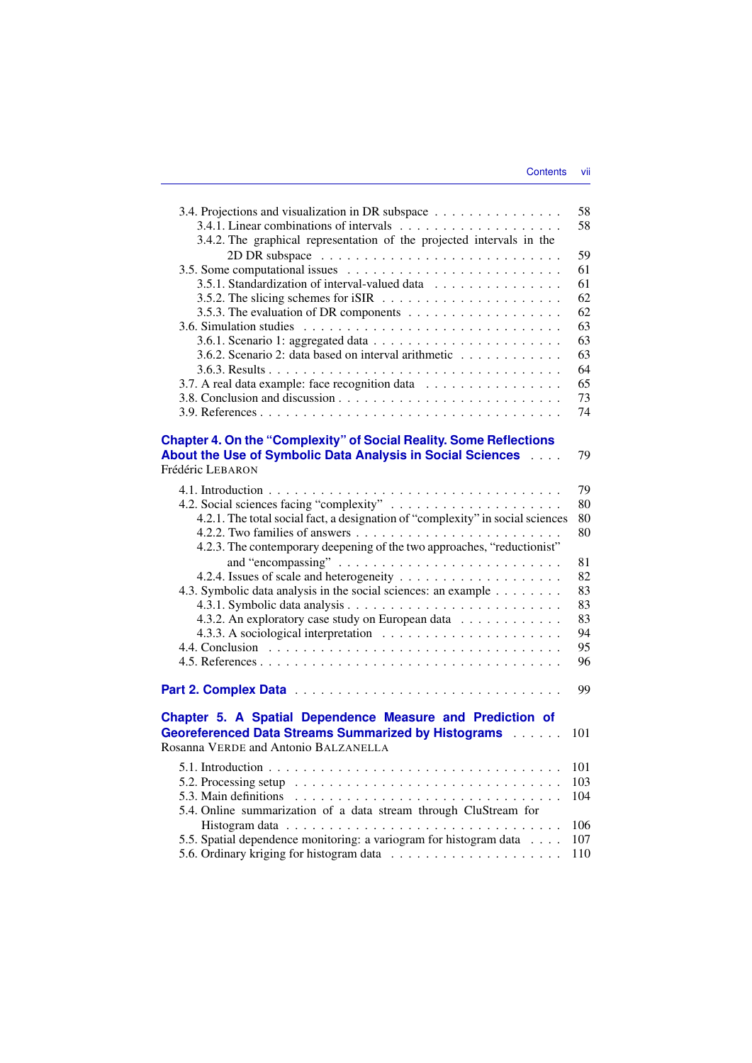| 3.4. Projections and visualization in DR subspace                                             | 58         |
|-----------------------------------------------------------------------------------------------|------------|
|                                                                                               | 58         |
| 3.4.2. The graphical representation of the projected intervals in the                         |            |
|                                                                                               | 59         |
|                                                                                               | 61         |
| 3.5.1. Standardization of interval-valued data                                                | 61         |
|                                                                                               | 62         |
|                                                                                               | 62         |
|                                                                                               | 63         |
|                                                                                               | 63         |
| 3.6.2. Scenario 2: data based on interval arithmetic                                          | 63         |
|                                                                                               | 64         |
| 3.7. A real data example: face recognition data                                               | 65         |
|                                                                                               |            |
|                                                                                               | 73         |
|                                                                                               | 74         |
|                                                                                               |            |
| <b>Chapter 4. On the "Complexity" of Social Reality. Some Reflections</b>                     |            |
| About the Use of Symbolic Data Analysis in Social Sciences                                    | 79         |
| Frédéric LEBARON                                                                              |            |
|                                                                                               | 79         |
|                                                                                               | 80         |
| 4.2.1. The total social fact, a designation of "complexity" in social sciences                | 80         |
|                                                                                               | 80         |
| 4.2.3. The contemporary deepening of the two approaches, "reductionist"                       |            |
|                                                                                               | 81         |
|                                                                                               | 82         |
| 4.3. Symbolic data analysis in the social sciences: an example                                | 83         |
|                                                                                               |            |
|                                                                                               | 83         |
| 4.3.2. An exploratory case study on European data                                             | 83         |
|                                                                                               | 94         |
|                                                                                               | 95         |
|                                                                                               | 96         |
|                                                                                               |            |
|                                                                                               |            |
|                                                                                               | 99         |
|                                                                                               |            |
| Chapter 5. A Spatial Dependence Measure and Prediction of                                     |            |
| <b>Georeferenced Data Streams Summarized by Histograms Adduct</b>                             | 101        |
| Rosanna VERDE and Antonio BALZANELLA                                                          |            |
|                                                                                               |            |
|                                                                                               | 101        |
| 5.2. Processing setup $\ldots \ldots \ldots \ldots \ldots \ldots \ldots \ldots \ldots \ldots$ | 103        |
| 5.3. Main definitions $\ldots \ldots \ldots \ldots \ldots \ldots \ldots \ldots \ldots \ldots$ | 104        |
| 5.4. Online summarization of a data stream through CluStream for                              |            |
|                                                                                               | 106        |
| 5.5. Spatial dependence monitoring: a variogram for histogram data                            | 107<br>110 |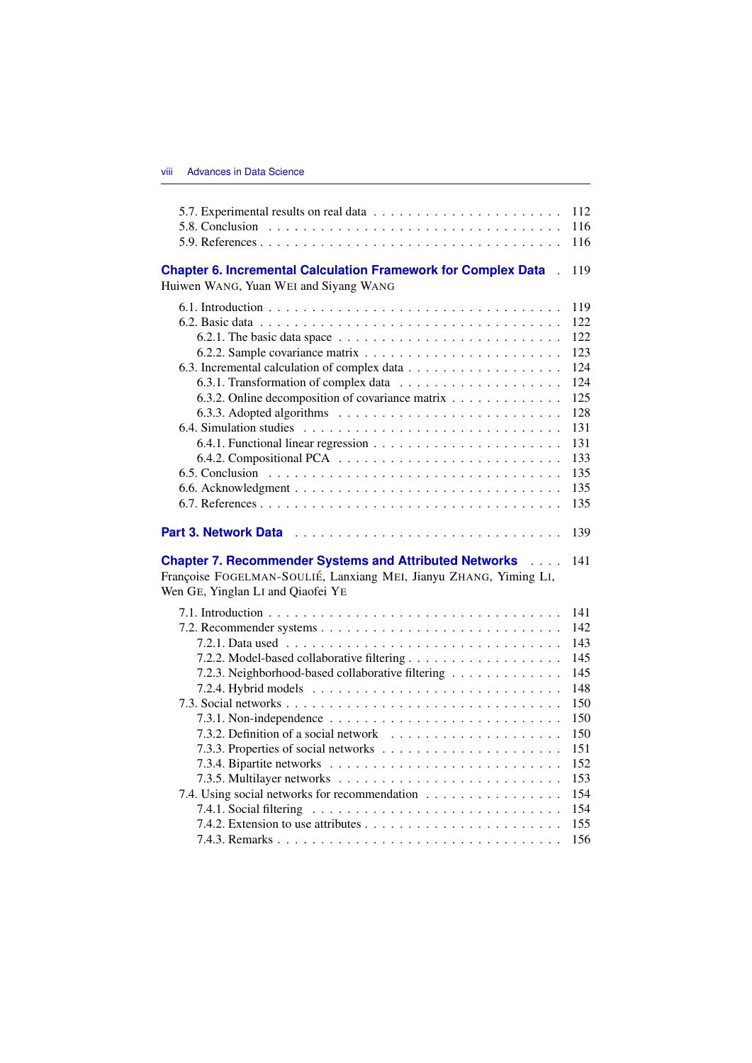|                                                                                                                               | 112        |
|-------------------------------------------------------------------------------------------------------------------------------|------------|
|                                                                                                                               | 116        |
|                                                                                                                               | 116        |
| <b>Chapter 6. Incremental Calculation Framework for Complex Data</b><br>$\mathbf{r}$<br>Huiwen WANG, Yuan WEI and Siyang WANG | 119        |
|                                                                                                                               | 119        |
|                                                                                                                               | 122        |
| 6.2.1. The basic data space $\ldots \ldots \ldots \ldots \ldots \ldots \ldots \ldots$                                         | 122        |
|                                                                                                                               | 123        |
|                                                                                                                               | 124        |
|                                                                                                                               | 124        |
| 6.3.2. Online decomposition of covariance matrix                                                                              | 125        |
|                                                                                                                               | 128        |
|                                                                                                                               | 131        |
|                                                                                                                               | 131        |
|                                                                                                                               | 133        |
|                                                                                                                               | 135        |
|                                                                                                                               | 135        |
|                                                                                                                               | 135        |
| <b>Chapter 7. Recommender Systems and Attributed Networks Action</b>                                                          | 139<br>141 |
| Françoise FOGELMAN-SOULIÉ, Lanxiang MEI, Jianyu ZHANG, Yiming LI,<br>Wen GE, Yinglan LI and Qiaofei YE                        |            |
|                                                                                                                               | 141        |
|                                                                                                                               | 142        |
|                                                                                                                               | 143        |
|                                                                                                                               | 145        |
| 7.2.3. Neighborhood-based collaborative filtering                                                                             | 145        |
|                                                                                                                               | 148        |
|                                                                                                                               |            |
|                                                                                                                               | 150        |
|                                                                                                                               | 150        |
|                                                                                                                               | 150        |
|                                                                                                                               | 151        |
|                                                                                                                               | 152        |
|                                                                                                                               | 153        |
| 7.4. Using social networks for recommendation                                                                                 | 154        |
|                                                                                                                               | 154        |
|                                                                                                                               | 155<br>156 |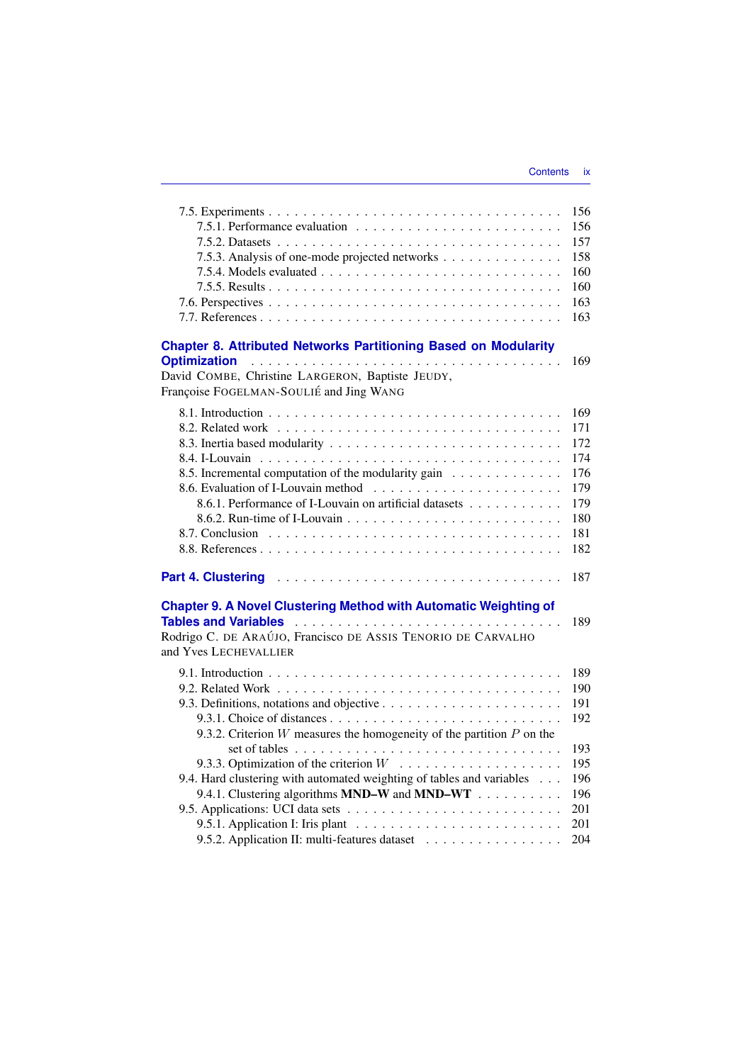|                                                                                       | 156 |
|---------------------------------------------------------------------------------------|-----|
|                                                                                       | 156 |
|                                                                                       | 157 |
| 7.5.3. Analysis of one-mode projected networks                                        | 158 |
|                                                                                       | 160 |
|                                                                                       | 160 |
|                                                                                       | 163 |
|                                                                                       | 163 |
| <b>Chapter 8. Attributed Networks Partitioning Based on Modularity</b>                |     |
| <b>Optimization</b>                                                                   | 169 |
| David COMBE, Christine LARGERON, Baptiste JEUDY,                                      |     |
| Françoise FOGELMAN-SOULIÉ and Jing WANG                                               |     |
|                                                                                       | 169 |
|                                                                                       | 171 |
|                                                                                       | 172 |
|                                                                                       | 174 |
| 8.5. Incremental computation of the modularity gain                                   | 176 |
|                                                                                       | 179 |
| 8.6.1. Performance of I-Louvain on artificial datasets                                | 179 |
|                                                                                       | 180 |
|                                                                                       | 181 |
|                                                                                       | 182 |
|                                                                                       | 187 |
| <b>Chapter 9. A Novel Clustering Method with Automatic Weighting of</b>               |     |
|                                                                                       | 189 |
| Rodrigo C. DE ARAÚJO, Francisco DE ASSIS TENORIO DE CARVALHO                          |     |
| and Yves LECHEVALLIER                                                                 |     |
|                                                                                       | 189 |
|                                                                                       | 190 |
|                                                                                       | 191 |
|                                                                                       | 192 |
| 9.3.2. Criterion $W$ measures the homogeneity of the partition $P$ on the             |     |
| set of tables $\ldots \ldots \ldots \ldots \ldots \ldots \ldots \ldots \ldots \ldots$ | 193 |
|                                                                                       | 195 |
| 9.4. Hard clustering with automated weighting of tables and variables                 | 196 |
| 9.4.1. Clustering algorithms MND-W and MND-WT                                         | 196 |
|                                                                                       | 201 |
|                                                                                       | 201 |
| 9.5.2. Application II: multi-features dataset                                         | 204 |